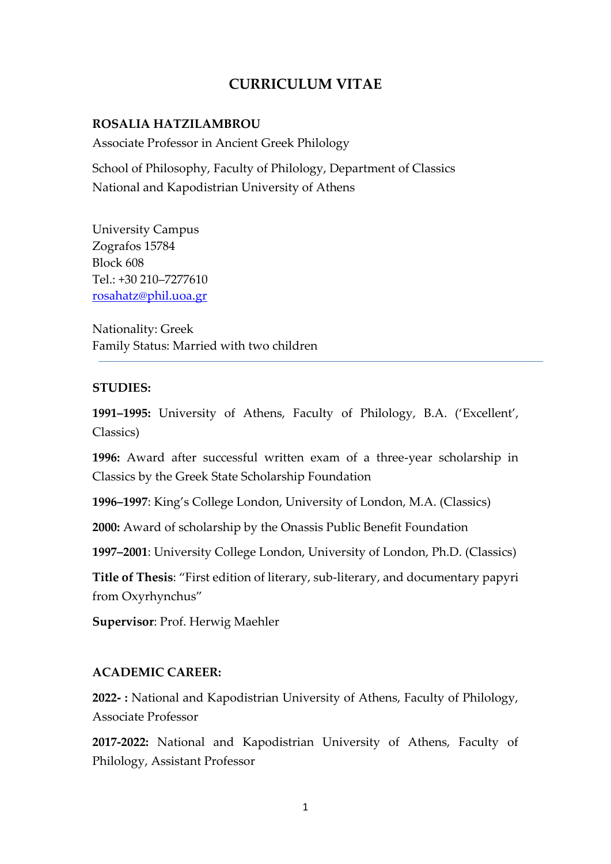# **CURRICULUM VITAE**

#### **ROSALIA HATZILAMBROU**

Associate Professor in Ancient Greek Philology

School of Philosophy, Faculty of Philology, Department of Classics National and Kapodistrian University of Athens

University Campus Zografos 15784 Block 608 Tel.: +30 210‒7277610 [rosahatz@phil.uoa.gr](mailto:rosahatz@phil.uoa.gr)

Nationality: Greek Family Status: Married with two children

#### **STUDIES:**

**1991‒1995:** University of Athens, Faculty of Philology, B.A. ('Excellent', Classics)

**1996:** Award after successful written exam of a three-year scholarship in Classics by the Greek State Scholarship Foundation

**1996‒1997**: King's College London, University of London, M.A. (Classics)

**2000:** Award of scholarship by the Onassis Public Benefit Foundation

**1997‒2001**: University College London, University of London, Ph.D. (Classics)

**Title of Thesis**: "First edition of literary, sub-literary, and documentary papyri from Oxyrhynchus"

**Supervisor**: Prof. Herwig Maehler

#### **ACADEMIC CAREER:**

**2022- :** National and Kapodistrian University of Athens, Faculty of Philology, Associate Professor

**2017-2022:** National and Kapodistrian University of Athens, Faculty of Philology, Assistant Professor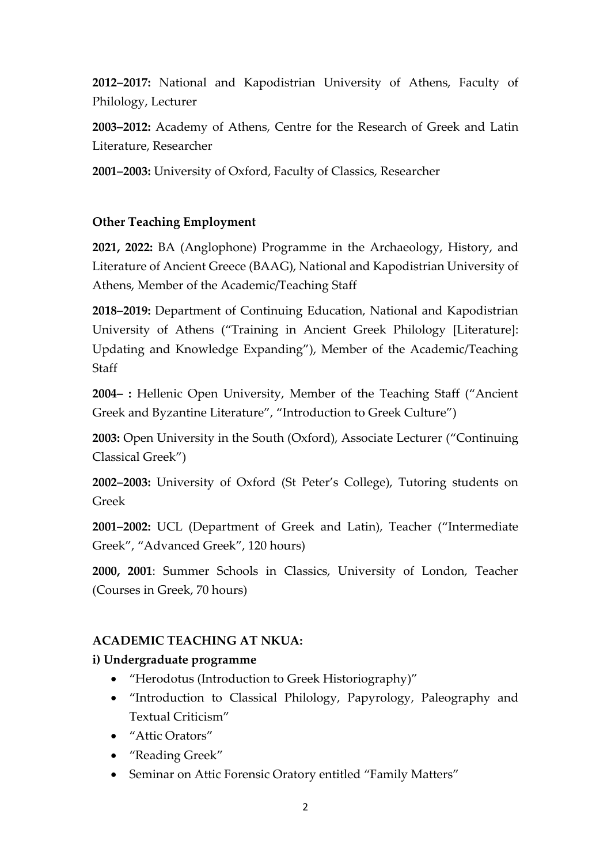**2012‒2017:** National and Kapodistrian University of Athens, Faculty of Philology, Lecturer

**2003‒2012:** Academy of Athens, Centre for the Research of Greek and Latin Literature, Researcher

**2001‒2003:** University of Oxford, Faculty of Classics, Researcher

# **Other Teaching Employment**

**2021, 2022:** BA (Anglophone) Programme in the Archaeology, History, and Literature of Ancient Greece (BAAG), National and Kapodistrian University of Athens, Member of the Academic/Teaching Staff

**2018‒2019:** Department of Continuing Education, National and Kapodistrian University of Athens ("Training in Ancient Greek Philology [Literature]: Updating and Knowledge Expanding"), Member of the Academic/Teaching **Staff** 

**2004‒ :** Hellenic Open University, Member of the Teaching Staff ("Ancient Greek and Byzantine Literature", "Introduction to Greek Culture")

**2003:** Open University in the South (Oxford), Associate Lecturer ("Continuing Classical Greek")

**2002‒2003:** University of Oxford (St Peter's College), Tutoring students on Greek

**2001‒2002:** UCL (Department of Greek and Latin), Teacher ("Intermediate Greek", "Advanced Greek", 120 hours)

**2000, 2001**: Summer Schools in Classics, University of London, Teacher (Courses in Greek, 70 hours)

# **ACADEMIC TEACHING AT NKUA:**

## **i) Undergraduate programme**

- "Herodotus (Introduction to Greek Historiography)"
- "Introduction to Classical Philology, Papyrology, Paleography and Textual Criticism"
- "Attic Orators"
- "Reading Greek"
- Seminar on Attic Forensic Oratory entitled "Family Matters"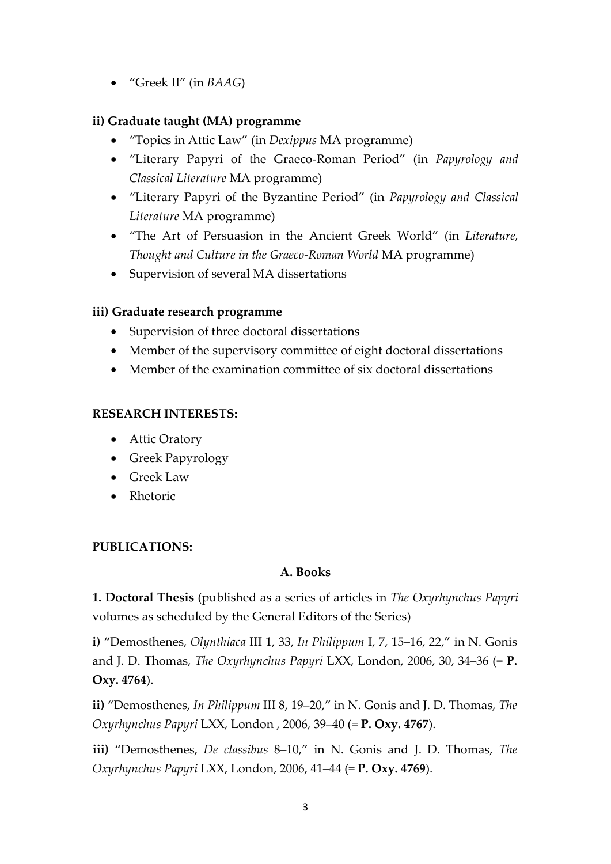• "Greek II" (in *BAAG*)

## **ii) Graduate taught (MA) programme**

- "Topics in Attic Law" (in *Dexippus* MA programme)
- "Literary Papyri of the Graeco-Roman Period" (in *Papyrology and Classical Literature* MA programme)
- "Literary Papyri of the Byzantine Period" (in *Papyrology and Classical Literature* MA programme)
- "The Art of Persuasion in the Ancient Greek World" (in *Literature, Thought and Culture in the Graeco-Roman World* MA programme)
- Supervision of several MA dissertations

## **iii) Graduate research programme**

- Supervision of three doctoral dissertations
- Member of the supervisory committee of eight doctoral dissertations
- Member of the examination committee of six doctoral dissertations

### **RESEARCH INTERESTS:**

- Attic Oratory
- Greek Papyrology
- Greek Law
- Rhetoric

## **PUBLICATIONS:**

## **A. Books**

**1. Doctoral Thesis** (published as a series of articles in *The Oxyrhynchus Papyri* volumes as scheduled by the General Editors of the Series)

**i)** "Demosthenes, *Olynthiaca* III 1, 33, *In Philippum* I, 7, 15–16, 22," in N. Gonis and J. D. Thomas, *The Oxyrhynchus Papyri* LXX, London, 2006, 30, 34–36 (= **P. Oxy. 4764**).

**ii)** "Demosthenes, *In Philippum* III 8, 19–20," in N. Gonis and J. D. Thomas, *The Oxyrhynchus Papyri* LXX, London , 2006, 39–40 (= **P. Oxy. 4767**).

**iii)** "Demosthenes, *De classibus* 8–10," in N. Gonis and J. D. Thomas, *The Oxyrhynchus Papyri* LXX, London, 2006, 41–44 (= **P. Oxy. 4769**).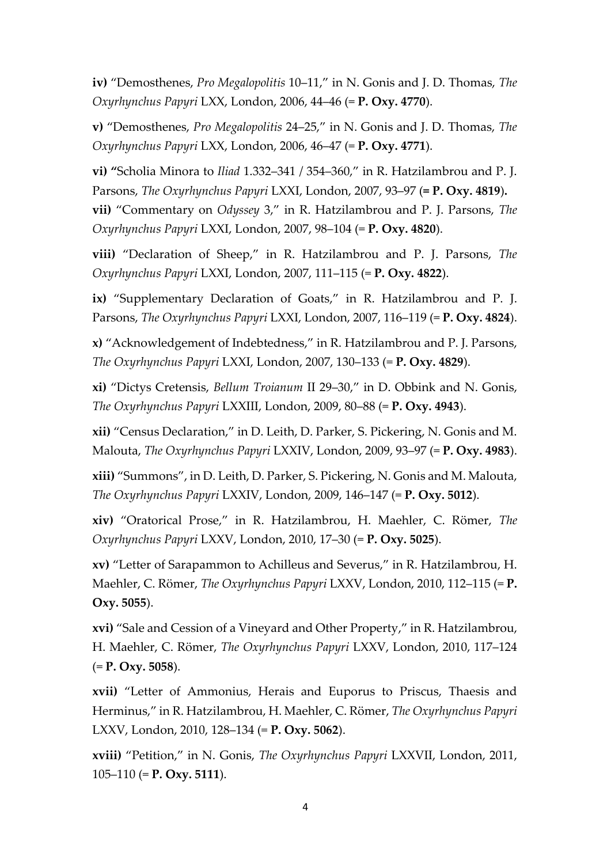**iv)** "Demosthenes, *Pro Megalopolitis* 10–11," in N. Gonis and J. D. Thomas, *The Oxyrhynchus Papyri* LXX, London, 2006, 44–46 (= **P. Oxy. 4770**).

**v)** "Demosthenes, *Pro Megalopolitis* 24–25," in N. Gonis and J. D. Thomas, *The Oxyrhynchus Papyri* LXX, London, 2006, 46–47 (= **P. Oxy. 4771**).

**vi) "**Scholia Minora to *Iliad* 1.332–341 / 354–360," in R. Hatzilambrou and P. J. Parsons, *The Oxyrhynchus Papyri* LXXI, London, 2007, 93–97 (**= P. Oxy. 4819**)**.**

**vii)** "Commentary on *Odyssey* 3," in R. Hatzilambrou and P. J. Parsons, *The Oxyrhynchus Papyri* LXXI, London, 2007, 98–104 (= **P. Oxy. 4820**).

**viii)** "Declaration of Sheep," in R. Hatzilambrou and P. J. Parsons, *The Oxyrhynchus Papyri* LXXI, London, 2007, 111–115 (= **P. Oxy. 4822**).

**ix)** "Supplementary Declaration of Goats," in R. Hatzilambrou and P. J. Parsons, *The Oxyrhynchus Papyri* LXXI, London, 2007, 116–119 (= **P. Oxy. 4824**).

**x)** "Acknowledgement of Indebtedness," in R. Hatzilambrou and P. J. Parsons, *The Oxyrhynchus Papyri* LXXI, London, 2007, 130–133 (= **P. Oxy. 4829**).

**xi)** "Dictys Cretensis, *Bellum Troianum* II 29–30," in D. Obbink and N. Gonis, *The Oxyrhynchus Papyri* LXXIII, London, 2009, 80–88 (= **P. Oxy. 4943**).

**xii)** "Census Declaration," in D. Leith, D. Parker, S. Pickering, N. Gonis and M. Malouta, *The Oxyrhynchus Papyri* LXXIV, London, 2009, 93–97 (= **P. Oxy. 4983**).

**xiii)** "Summons", in D. Leith, D. Parker, S. Pickering, N. Gonis and M. Malouta, *The Oxyrhynchus Papyri* LXXIV, London, 2009, 146–147 (= **P. Oxy. 5012**).

**xiv)** "Oratorical Prose," in R. Hatzilambrou, H. Maehler, C. Römer, *The Oxyrhynchus Papyri* LXXV, London, 2010, 17–30 (= **P. Oxy. 5025**).

**xv)** "Letter of Sarapammon to Achilleus and Severus," in R. Hatzilambrou, H. Maehler, C. Römer, *The Oxyrhynchus Papyri* LXXV, London, 2010, 112–115 (= **P. Oxy. 5055**).

**xvi)** "Sale and Cession of a Vineyard and Other Property," in R. Hatzilambrou, H. Maehler, C. Römer, *The Oxyrhynchus Papyri* LXXV, London, 2010, 117–124 (= **P. Oxy. 5058**).

**xvii)** "Letter of Ammonius, Herais and Euporus to Priscus, Thaesis and Herminus," in R. Hatzilambrou, H. Maehler, C. Römer, *The Oxyrhynchus Papyri* LXXV, London, 2010, 128–134 (= **P. Oxy. 5062**).

**xviii)** "Petition," in Ν. Gonis, *The Oxyrhynchus Papyri* LXXVII, London, 2011, 105–110 (= **P. Oxy. 5111**).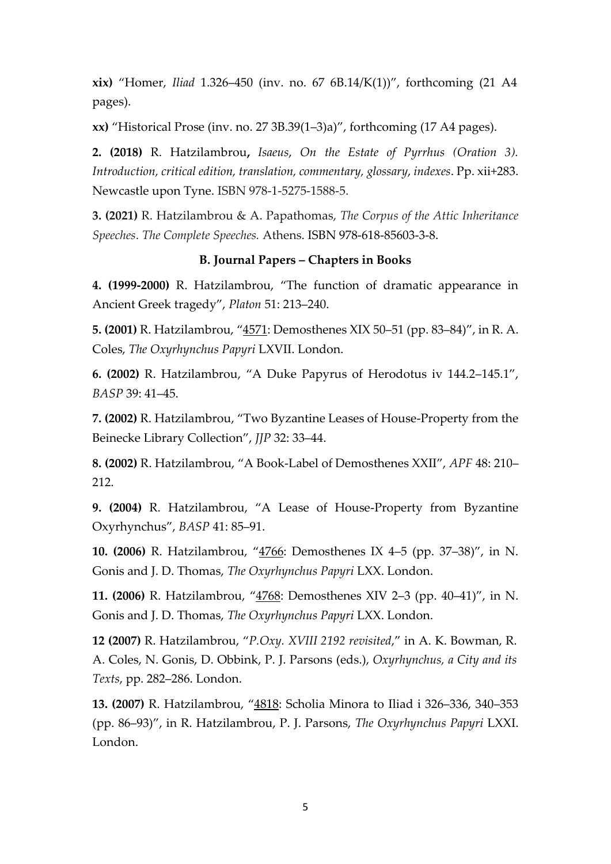**xix)** "Homer, *Iliad* 1.326–450 (inv. no. 67 6B.14/K(1))", forthcoming (21 A4 pages).

**xx)** "Historical Prose (inv. no. 27 3B.39(1–3)a)", forthcoming (17 Α4 pages).

**2. (2018)** R. Hatzilambrou**,** *Isaeus*, *On the Estate of Pyrrhus (Oration 3). Introduction, critical edition, translation, commentary, glossary*, *indexes*. Pp. xii+283. Newcastle upon Tyne. ISBN 978-1-5275-1588-5.

**3. (2021)** R. Hatzilambrou & A. Papathomas, *The Corpus of the Attic Inheritance Speeches*. *The Complete Speeches.* Athens. ISBN 978-618-85603-3-8.

#### **B. Journal Papers – Chapters in Books**

**4. (1999-2000)** R. Hatzilambrou, "The function of dramatic appearance in Ancient Greek tragedy", *Platon* 51: 213-240.

**5. (2001)** R. Hatzilambrou, "4571: Demosthenes XIX 50–51 (pp. 83–84)", in R. A. Coles, *The Oxyrhynchus Papyri* LXVII. London.

**6. (2002)** R. Hatzilambrou, "A Duke Papyrus of Herodotus iv 144.2‒145.1", *BASP* 39: 41‒45.

**7. (2002)** R. Hatzilambrou, "Two Byzantine Leases of House-Property from the Beinecke Library Collection", *JJP* 32: 33-44.

**8. (2002)** R. Hatzilambrou, "A Book-Label of Demosthenes XXII", *APF* 48: 210‒ 212.

**9. (2004)** R. Hatzilambrou, "A Lease of House-Property from Byzantine Oxyrhynchus", *BASP* 41: 85‒91.

**10. (2006)** R. Hatzilambrou, "4766: Demosthenes IX 4‒5 (pp. 37‒38)", in N. Gonis and J. D. Thomas, *The Oxyrhynchus Papyri* LXX. London.

**11. (2006)** R. Hatzilambrou, "4768: Demosthenes XIV 2‒3 (pp. 40‒41)", in N. Gonis and J. D. Thomas, *The Oxyrhynchus Papyri* LXX. London.

**12 (2007)** R. Hatzilambrou, "*P.Oxy. XVIII 2192 revisited*," in A. K. Bowman, R. A. Coles, N. Gonis, D. Obbink, P. J. Parsons (eds.), *Oxyrhynchus, a City and its Texts*, pp. 282‒286. London.

**13. (2007)** R. Hatzilambrou, "4818: Scholia Minora to Iliad i 326‒336, 340‒353 (pp. 86‒93)", in R. Hatzilambrou, P. J. Parsons, *The Oxyrhynchus Papyri* LXXI. London.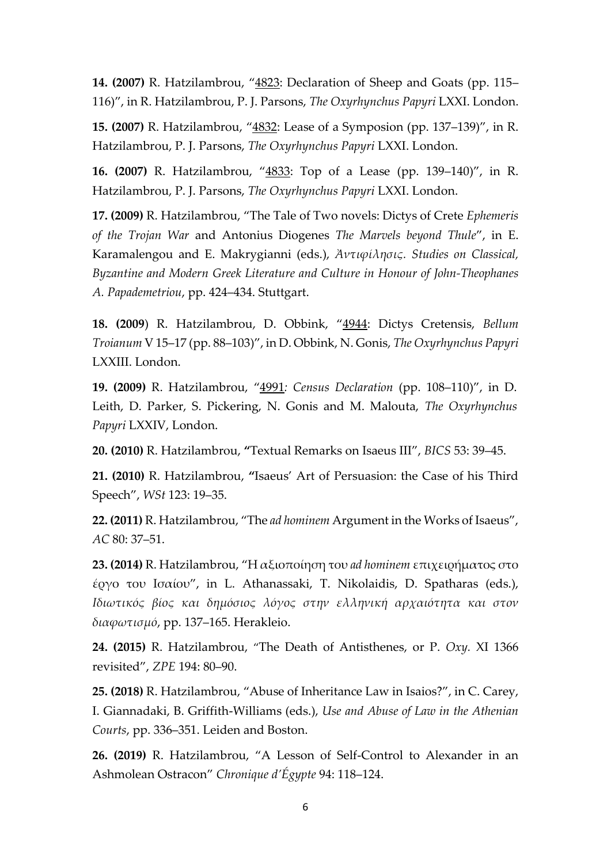**14. (2007)** R. Hatzilambrou, "4823: Declaration of Sheep and Goats (pp. 115– 116)", in R. Hatzilambrou, P. J. Parsons, *The Oxyrhynchus Papyri* LXXI. London.

**15. (2007)** R. Hatzilambrou, "4832: Lease of a Symposion (pp. 137–139)", in R. Hatzilambrou, P. J. Parsons, *The Oxyrhynchus Papyri* LXXI. London.

**16. (2007)** R. Hatzilambrou, "4833: Top of a Lease (pp. 139-140)", in R. Hatzilambrou, P. J. Parsons, *The Oxyrhynchus Papyri* LXXI. London.

**17. (2009)** R. Hatzilambrou, "The Tale of Two novels: Dictys of Crete *Ephemeris of the Trojan War* and Antonius Diogenes *The Marvels beyond Thule*", in E. Karamalengou and E. Makrygianni (eds.), *Ἀντιφίλησις. Studies on Classical, Byzantine and Modern Greek Literature and Culture in Honour of John-Theophanes A. Papademetriou*, pp. 424‒434. Stuttgart.

**18. (2009**) R. Hatzilambrou, D. Obbink, "4944: Dictys Cretensis, *Bellum Troianum* V 15‒17 (pp. 88‒103)", in D. Obbink, N. Gonis, *The Oxyrhynchus Papyri*  LXXIII. London.

**19. (2009)** R. Hatzilambrou, "4991*: Census Declaration* (pp. 108‒110)", in D. Leith, D. Parker, S. Pickering, N. Gonis and M. Malouta, *The Oxyrhynchus Papyri* LXXΙV, London.

**20. (2010)** R. Hatzilambrou, **"**Textual Remarks on Isaeus III", *BICS* 53: 39‒45.

**21. (2010)** R. Hatzilambrou, **"**Isaeus' Art of Persuasion: the Case of his Third Speech", *WSt* 123: 19‒35.

**22. (2011)** R. Hatzilambrou, "The *ad hominem* Argument in the Works of Isaeus", *AC* 80: 37‒51.

**23. (2014)** R. Hatzilambrou, "Η αξιοποίηση του *ad hominem* επιχειρήματος στο έργο του Ισαίου", in L. Athanassaki, T. Nikolaidis, D. Spatharas (eds.), *Ιδιωτικός βίος και δημόσιος λόγος στην ελληνική αρχαιότητα και στον διαφωτισμό*, pp. 137‒165. Herakleio.

**24. (2015)** R. Hatzilambrou, "The Death of Antisthenes, or P. *Oxy.* XI 1366 revisited", *ZPE* 194: 80‒90.

**25. (2018)** R. Hatzilambrou, "Abuse of Inheritance Law in Isaios?", in C. Carey, I. Giannadaki, B. Griffith-Williams (eds.), *Use and Abuse of Law in the Athenian Courts*, pp. 336‒351. Leiden and Boston.

**26. (2019)** R. Hatzilambrou, "A Lesson of Self-Control to Alexander in an Ashmolean Ostracon" Chronique d'Égypte 94: 118-124.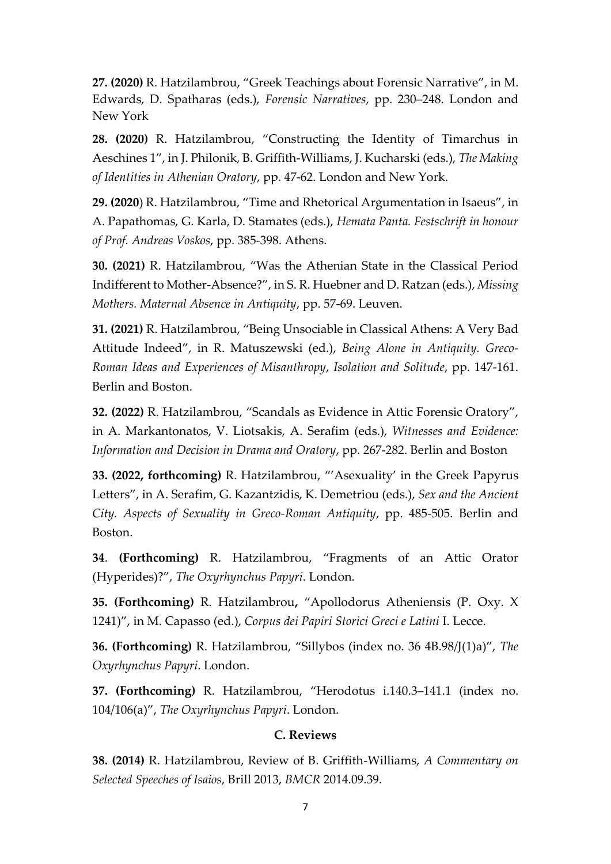**27. (2020)** R. Hatzilambrou, "Greek Teachings about Forensic Narrative", in M. Edwards, D. Spatharas (eds.), *Forensic Narratives*, pp. 230–248. London and New York

**28. (2020)** R. Hatzilambrou, "Constructing the Identity of Timarchus in Aeschines 1", in J. Philonik, B. Griffith-Williams, J. Kucharski (eds.), *The Making of Identities in Athenian Oratory*, pp. 47-62. London and New York.

**29. (2020**) R. Hatzilambrou, "Time and Rhetorical Argumentation in Isaeus", in A. Papathomas, G. Karla, D. Stamates (eds.), *Hemata Panta. Festschrift in honour of Prof. Andreas Voskos*, pp. 385-398. Athens.

**30. (2021)** R. Hatzilambrou, "Was the Athenian State in the Classical Period Indifferent to Mother-Absence?", in S. R. Huebner and D. Ratzan (eds.), *Missing Mothers. Maternal Absence in Antiquity*, pp. 57-69. Leuven.

**31. (2021)** R. Hatzilambrou, "Being Unsociable in Classical Athens: A Very Bad Attitude Indeed", in R. Matuszewski (ed.), *Being Alone in Antiquity. Greco-Roman Ideas and Experiences of Misanthropy*, *Isolation and Solitude*, pp. 147-161. Berlin and Boston.

**32. (2022)** R. Hatzilambrou, "Scandals as Evidence in Attic Forensic Oratory", in A. Markantonatos, V. Liotsakis, A. Serafim (eds.), *Witnesses and Evidence: Information and Decision in Drama and Oratory*, pp. 267-282. Berlin and Boston

**33. (2022, forthcoming)** R. Hatzilambrou, "'Asexuality' in the Greek Papyrus Letters", in A. Serafim, G. Kazantzidis, K. Demetriou (eds.), *Sex and the Ancient City. Aspects of Sexuality in Greco-Roman Antiquity*, pp. 485-505. Berlin and Boston.

**34**. **(Forthcoming)** R. Hatzilambrou, "Fragments of an Attic Orator (Hyperides)?", *The Oxyrhynchus Papyri*. London.

**35. (Forthcoming)** R. Hatzilambrou**,** "Apollodorus Atheniensis (P. Oxy. X 1241)", in M. Capasso (ed.), *Corpus dei Papiri Storici Greci e Latini* I. Lecce.

**36. (Forthcoming)** R. Hatzilambrou, "Sillybos (index no. 36 4B.98/J(1)a)", *The Oxyrhynchus Papyri*. London.

**37. (Forthcoming)** R. Hatzilambrou, "Herodotus i.140.3‒141.1 (index no. 104/106(a)", *The Oxyrhynchus Papyri*. London.

### **C. Reviews**

**38. (2014)** R. Hatzilambrou, Review of B. Griffith-Williams, *A Commentary on Selected Speeches of Isaios*, Brill 2013, *BMCR* 2014.09.39.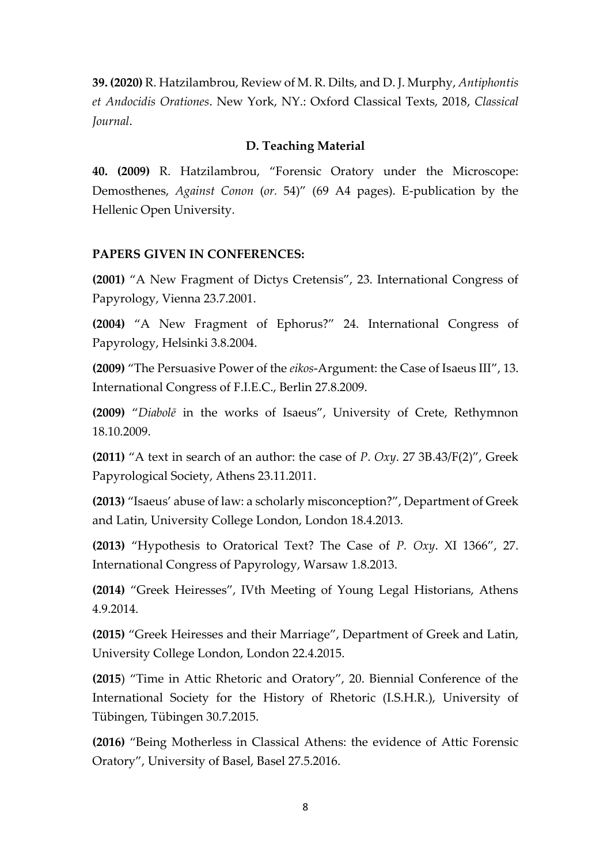**39. (2020)** R. Hatzilambrou, Review of M. R. Dilts, and D. J. Murphy, *Antiphontis et Andocidis Orationes*. New York, NY.: Oxford Classical Texts, 2018, *Classical Journal*.

#### **D. Teaching Material**

**40. (2009)** R. Hatzilambrou, "Forensic Oratory under the Microscope: Demosthenes, *Against Conon* (*or.* 54)" (69 A4 pages). E-publication by the Hellenic Open University.

### **PAPERS GIVEN IN CONFERENCES:**

**(2001)** "A New Fragment of Dictys Cretensis", 23. International Congress of Papyrology, Vienna 23.7.2001.

**(2004)** "A New Fragment of Ephorus?" 24. International Congress of Papyrology, Helsinki 3.8.2004.

**(2009)** "The Persuasive Power of the *eikos*-Argument: the Case of Isaeus III", 13. International Congress of F.I.E.C., Berlin 27.8.2009.

**(2009)** "*Diabolē* in the works of Isaeus", University of Crete, Rethymnon 18.10.2009.

**(2011)** "A text in search of an author: the case of *P*. *Oxy*. 27 3B.43/F(2)", Greek Papyrological Society, Athens 23.11.2011.

**(2013)** "Isaeus' abuse of law: a scholarly misconception?", Department of Greek and Latin, University College London, London 18.4.2013.

**(2013)** "Hypothesis to Oratorical Text? The Case of *P. Oxy*. XI 1366", 27. International Congress of Papyrology, Warsaw 1.8.2013.

**(2014)** "Greek Heiresses", IVth Meeting of Young Legal Historians, Athens 4.9.2014.

**(2015)** "Greek Heiresses and their Marriage", Department of Greek and Latin, University College London, London 22.4.2015.

**(2015**) "Time in Attic Rhetoric and Oratory", 20. Biennial Conference of the International Society for the History of Rhetoric (I.S.H.R.), University of Tübingen, Tübingen 30.7.2015.

**(2016)** "Being Motherless in Classical Athens: the evidence of Attic Forensic Oratory", University of Basel, Basel 27.5.2016.